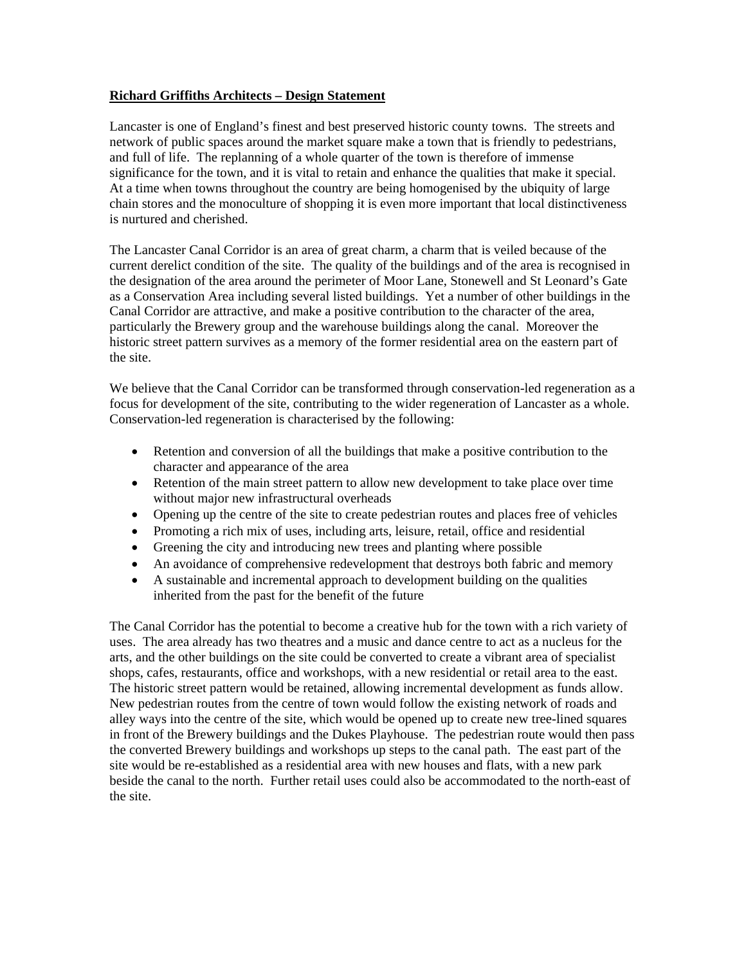## **Richard Griffiths Architects – Design Statement**

Lancaster is one of England's finest and best preserved historic county towns. The streets and network of public spaces around the market square make a town that is friendly to pedestrians, and full of life. The replanning of a whole quarter of the town is therefore of immense significance for the town, and it is vital to retain and enhance the qualities that make it special. At a time when towns throughout the country are being homogenised by the ubiquity of large chain stores and the monoculture of shopping it is even more important that local distinctiveness is nurtured and cherished.

The Lancaster Canal Corridor is an area of great charm, a charm that is veiled because of the current derelict condition of the site. The quality of the buildings and of the area is recognised in the designation of the area around the perimeter of Moor Lane, Stonewell and St Leonard's Gate as a Conservation Area including several listed buildings. Yet a number of other buildings in the Canal Corridor are attractive, and make a positive contribution to the character of the area, particularly the Brewery group and the warehouse buildings along the canal. Moreover the historic street pattern survives as a memory of the former residential area on the eastern part of the site.

We believe that the Canal Corridor can be transformed through conservation-led regeneration as a focus for development of the site, contributing to the wider regeneration of Lancaster as a whole. Conservation-led regeneration is characterised by the following:

- Retention and conversion of all the buildings that make a positive contribution to the character and appearance of the area
- Retention of the main street pattern to allow new development to take place over time without major new infrastructural overheads
- Opening up the centre of the site to create pedestrian routes and places free of vehicles
- Promoting a rich mix of uses, including arts, leisure, retail, office and residential
- Greening the city and introducing new trees and planting where possible
- An avoidance of comprehensive redevelopment that destroys both fabric and memory
- A sustainable and incremental approach to development building on the qualities inherited from the past for the benefit of the future

The Canal Corridor has the potential to become a creative hub for the town with a rich variety of uses. The area already has two theatres and a music and dance centre to act as a nucleus for the arts, and the other buildings on the site could be converted to create a vibrant area of specialist shops, cafes, restaurants, office and workshops, with a new residential or retail area to the east. The historic street pattern would be retained, allowing incremental development as funds allow. New pedestrian routes from the centre of town would follow the existing network of roads and alley ways into the centre of the site, which would be opened up to create new tree-lined squares in front of the Brewery buildings and the Dukes Playhouse. The pedestrian route would then pass the converted Brewery buildings and workshops up steps to the canal path. The east part of the site would be re-established as a residential area with new houses and flats, with a new park beside the canal to the north. Further retail uses could also be accommodated to the north-east of the site.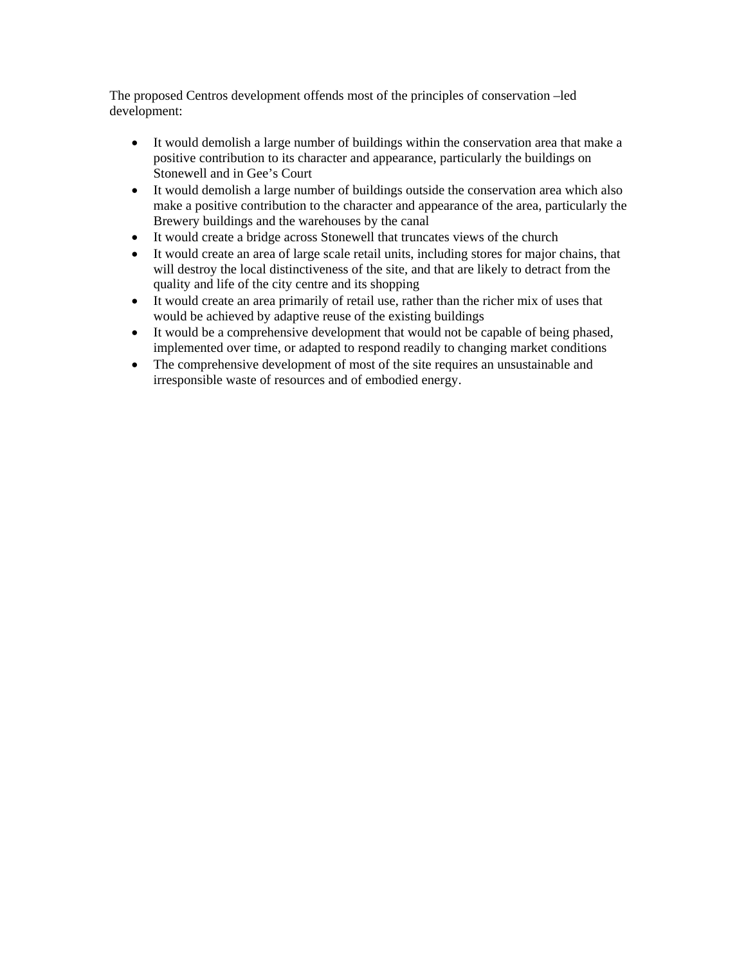The proposed Centros development offends most of the principles of conservation –led development:

- It would demolish a large number of buildings within the conservation area that make a positive contribution to its character and appearance, particularly the buildings on Stonewell and in Gee's Court
- It would demolish a large number of buildings outside the conservation area which also make a positive contribution to the character and appearance of the area, particularly the Brewery buildings and the warehouses by the canal
- It would create a bridge across Stonewell that truncates views of the church
- It would create an area of large scale retail units, including stores for major chains, that will destroy the local distinctiveness of the site, and that are likely to detract from the quality and life of the city centre and its shopping
- It would create an area primarily of retail use, rather than the richer mix of uses that would be achieved by adaptive reuse of the existing buildings
- It would be a comprehensive development that would not be capable of being phased, implemented over time, or adapted to respond readily to changing market conditions
- The comprehensive development of most of the site requires an unsustainable and irresponsible waste of resources and of embodied energy.